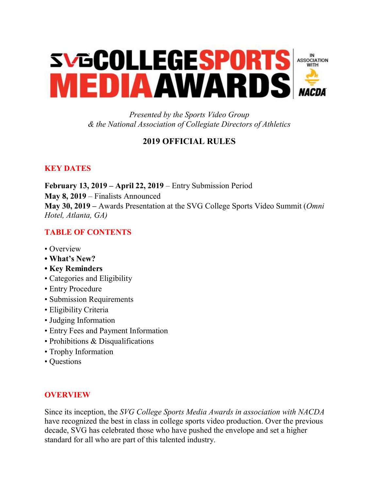

*Presented by the Sports Video Group & the National Association of Collegiate Directors of Athletics*

# **2019 OFFICIAL RULES**

# **KEY DATES**

**February 13, 2019 – April 22, 2019** – Entry Submission Period **May 8, 2019** – Finalists Announced **May 30, 2019 –** Awards Presentation at the SVG College Sports Video Summit (*Omni Hotel, Atlanta, GA)* 

## **TABLE OF CONTENTS**

- Overview
- **What's New?**
- **Key Reminders**
- Categories and Eligibility
- Entry Procedure
- Submission Requirements
- Eligibility Criteria
- Judging Information
- Entry Fees and Payment Information
- Prohibitions & Disqualifications
- Trophy Information
- Questions

## **OVERVIEW**

Since its inception, the *SVG College Sports Media Awards in association with NACDA* have recognized the best in class in college sports video production. Over the previous decade, SVG has celebrated those who have pushed the envelope and set a higher standard for all who are part of this talented industry.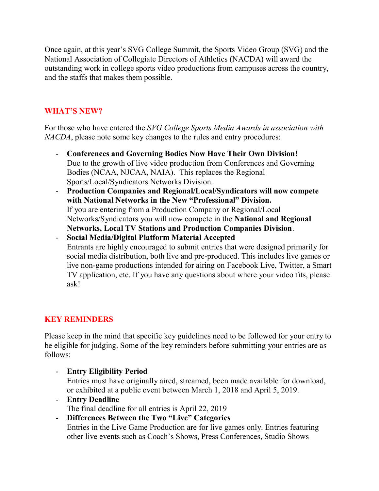Once again, at this year's SVG College Summit, the Sports Video Group (SVG) and the National Association of Collegiate Directors of Athletics (NACDA) will award the outstanding work in college sports video productions from campuses across the country, and the staffs that makes them possible.

## **WHAT'S NEW?**

For those who have entered the *SVG College Sports Media Awards in association with NACDA*, please note some key changes to the rules and entry procedures:

- **Conferences and Governing Bodies Now Have Their Own Division!** Due to the growth of live video production from Conferences and Governing Bodies (NCAA, NJCAA, NAIA). This replaces the Regional Sports/Local/Syndicators Networks Division.
- **Production Companies and Regional/Local/Syndicators will now compete with National Networks in the New "Professional" Division.** If you are entering from a Production Company or Regional/Local Networks/Syndicators you will now compete in the **National and Regional Networks, Local TV Stations and Production Companies Division**.
- **Social Media/Digital Platform Material Accepted** Entrants are highly encouraged to submit entries that were designed primarily for social media distribution, both live and pre-produced. This includes live games or live non-game productions intended for airing on Facebook Live, Twitter, a Smart TV application, etc. If you have any questions about where your video fits, please ask!

# **KEY REMINDERS**

Please keep in the mind that specific key guidelines need to be followed for your entry to be eligible for judging. Some of the key reminders before submitting your entries are as follows:

- **Entry Eligibility Period**

Entries must have originally aired, streamed, been made available for download, or exhibited at a public event between March 1, 2018 and April 5, 2019.

- **Entry Deadline** The final deadline for all entries is April 22, 2019
- **Differences Between the Two "Live" Categories** Entries in the Live Game Production are for live games only. Entries featuring other live events such as Coach's Shows, Press Conferences, Studio Shows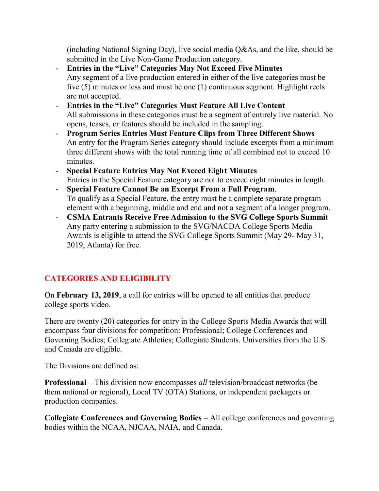(including National Signing Day), live social media Q&As, and the like, should be submitted in the Live Non-Game Production category.

- **Entries in the "Live" Categories May Not Exceed Five Minutes** Any segment of a live production entered in either of the live categories must be five (5) minutes or less and must be one (1) continuous segment. Highlight reels are not accepted.
- **Entries in the "Live" Categories Must Feature All Live Content** All submissions in these categories must be a segment of entirely live material. No opens, teases, or features should be included in the sampling.
- **Program Series Entries Must Feature Clips from Three Different Shows** An entry for the Program Series category should include excerpts from a minimum three different shows with the total running time of all combined not to exceed 10 minutes.
- **Special Feature Entries May Not Exceed Eight Minutes** Entries in the Special Feature category are not to exceed eight minutes in length.
- **Special Feature Cannot Be an Excerpt From a Full Program**. To qualify as a Special Feature, the entry must be a complete separate program element with a beginning, middle and end and not a segment of a longer program.
- **CSMA Entrants Receive Free Admission to the SVG College Sports Summit** Any party entering a submission to the SVG/NACDA College Sports Media Awards is eligible to attend the SVG College Sports Summit (May 29- May 31, 2019, Atlanta) for free.

# **CATEGORIES AND ELIGIBILITY**

On **February 13, 2019**, a call for entries will be opened to all entities that produce college sports video.

There are twenty (20) categories for entry in the College Sports Media Awards that will encompass four divisions for competition: Professional; College Conferences and Governing Bodies; Collegiate Athletics; Collegiate Students. Universities from the U.S. and Canada are eligible.

The Divisions are defined as:

**Professional** – This division now encompasses *all* television/broadcast networks (be them national or regional), Local TV (OTA) Stations, or independent packagers or production companies.

**Collegiate Conferences and Governing Bodies** – All college conferences and governing bodies within the NCAA, NJCAA, NAIA, and Canada.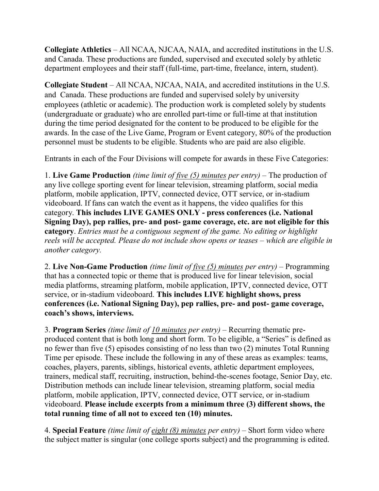**Collegiate Athletics** – All NCAA, NJCAA, NAIA, and accredited institutions in the U.S. and Canada. These productions are funded, supervised and executed solely by athletic department employees and their staff (full-time, part-time, freelance, intern, student).

**Collegiate Student** – All NCAA, NJCAA, NAIA, and accredited institutions in the U.S. and Canada. These productions are funded and supervised solely by university employees (athletic or academic). The production work is completed solely by students (undergraduate or graduate) who are enrolled part-time or full-time at that institution during the time period designated for the content to be produced to be eligible for the awards. In the case of the Live Game, Program or Event category, 80% of the production personnel must be students to be eligible. Students who are paid are also eligible.

Entrants in each of the Four Divisions will compete for awards in these Five Categories:

1. **Live Game Production** *(time limit of five (5) minutes per entry)* – The production of any live college sporting event for linear television, streaming platform, social media platform, mobile application, IPTV, connected device, OTT service, or in-stadium videoboard. If fans can watch the event as it happens, the video qualifies for this category. **This includes LIVE GAMES ONLY - press conferences (i.e. National Signing Day), pep rallies, pre- and post- game coverage, etc. are not eligible for this category**. *Entries must be a contiguous segment of the game. No editing or highlight reels will be accepted. Please do not include show opens or teases – which are eligible in another category.* 

2. **Live Non-Game Production** *(time limit of five (5) minutes per entry)* – Programming that has a connected topic or theme that is produced live for linear television, social media platforms, streaming platform, mobile application, IPTV, connected device, OTT service, or in-stadium videoboard. **This includes LIVE highlight shows, press conferences (i.e. National Signing Day), pep rallies, pre- and post- game coverage, coach's shows, interviews.**

3. **Program Series** *(time limit of 10 minutes per entry)* – Recurring thematic preproduced content that is both long and short form. To be eligible, a "Series" is defined as no fewer than five (5) episodes consisting of no less than two (2) minutes Total Running Time per episode. These include the following in any of these areas as examples: teams, coaches, players, parents, siblings, historical events, athletic department employees, trainers, medical staff, recruiting, instruction, behind-the-scenes footage, Senior Day, etc. Distribution methods can include linear television, streaming platform, social media platform, mobile application, IPTV, connected device, OTT service, or in-stadium videoboard. **Please include excerpts from a minimum three (3) different shows, the total running time of all not to exceed ten (10) minutes.** 

4. **Special Feature** *(time limit of eight (8) minutes per entry)* – Short form video where the subject matter is singular (one college sports subject) and the programming is edited.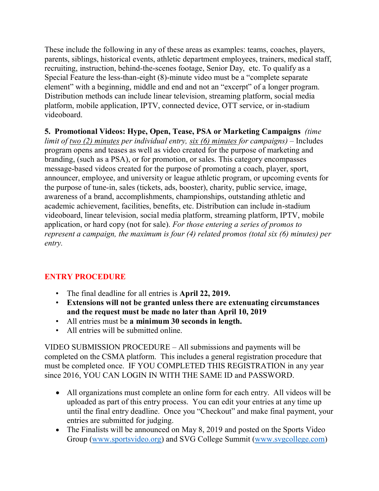These include the following in any of these areas as examples: teams, coaches, players, parents, siblings, historical events, athletic department employees, trainers, medical staff, recruiting, instruction, behind-the-scenes footage, Senior Day, etc. To qualify as a Special Feature the less-than-eight (8)-minute video must be a "complete separate element" with a beginning, middle and end and not an "excerpt" of a longer program. Distribution methods can include linear television, streaming platform, social media platform, mobile application, IPTV, connected device, OTT service, or in-stadium videoboard.

**5. Promotional Videos: Hype, Open, Tease, PSA or Marketing Campaigns** *(time limit of two (2) minutes per individual entry, six (6) minutes for campaigns)* – Includes program opens and teases as well as video created for the purpose of marketing and branding, (such as a PSA), or for promotion, or sales. This category encompasses message-based videos created for the purpose of promoting a coach, player, sport, announcer, employee, and university or league athletic program, or upcoming events for the purpose of tune-in, sales (tickets, ads, booster), charity, public service, image, awareness of a brand, accomplishments, championships, outstanding athletic and academic achievement, facilities, benefits, etc. Distribution can include in-stadium videoboard, linear television, social media platform, streaming platform, IPTV, mobile application, or hard copy (not for sale). *For those entering a series of promos to represent a campaign, the maximum is four (4) related promos (total six (6) minutes) per entry.* 

## **ENTRY PROCEDURE**

- The final deadline for all entries is **April 22, 2019.**
- **Extensions will not be granted unless there are extenuating circumstances and the request must be made no later than April 10, 2019**
- All entries must be **a minimum 30 seconds in length.**
- All entries will be submitted online.

VIDEO SUBMISSION PROCEDURE – All submissions and payments will be completed on the CSMA platform. This includes a general registration procedure that must be completed once. IF YOU COMPLETED THIS REGISTRATION in any year since 2016, YOU CAN LOGIN IN WITH THE SAME ID and PASSWORD.

- All organizations must complete an online form for each entry. All videos will be uploaded as part of this entry process. You can edit your entries at any time up until the final entry deadline. Once you "Checkout" and make final payment, your entries are submitted for judging.
- The Finalists will be announced on May 8, 2019 and posted on the Sports Video Group [\(www.sportsvideo.org\)](http://www.sportsvideo.org/) and SVG College Summit [\(www.svgcollege.com\)](http://www.svgcollege.com/)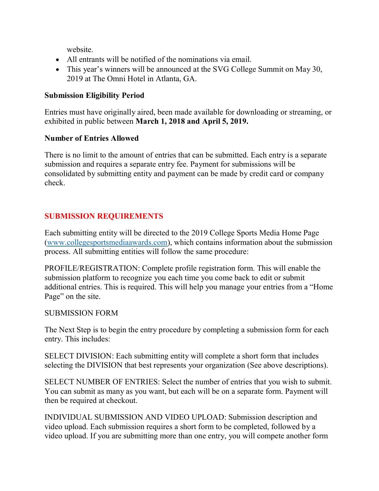website.

- All entrants will be notified of the nominations via email.
- This year's winners will be announced at the SVG College Summit on May 30, 2019 at The Omni Hotel in Atlanta, GA.

## **Submission Eligibility Period**

Entries must have originally aired, been made available for downloading or streaming, or exhibited in public between **March 1, 2018 and April 5, 2019.** 

#### **Number of Entries Allowed**

There is no limit to the amount of entries that can be submitted. Each entry is a separate submission and requires a separate entry fee. Payment for submissions will be consolidated by submitting entity and payment can be made by credit card or company check.

## **SUBMISSION REQUIREMENTS**

Each submitting entity will be directed to the 2019 College Sports Media Home Page [\(www.collegesportsmediaawards.com\)](http://www.collegesportsmediaawards.com/), which contains information about the submission process. All submitting entities will follow the same procedure:

PROFILE/REGISTRATION: Complete profile registration form. This will enable the submission platform to recognize you each time you come back to edit or submit additional entries. This is required. This will help you manage your entries from a "Home Page" on the site.

## SUBMISSION FORM

The Next Step is to begin the entry procedure by completing a submission form for each entry. This includes:

SELECT DIVISION: Each submitting entity will complete a short form that includes selecting the DIVISION that best represents your organization (See above descriptions).

SELECT NUMBER OF ENTRIES: Select the number of entries that you wish to submit. You can submit as many as you want, but each will be on a separate form. Payment will then be required at checkout.

INDIVIDUAL SUBMISSION AND VIDEO UPLOAD: Submission description and video upload. Each submission requires a short form to be completed, followed by a video upload. If you are submitting more than one entry, you will compete another form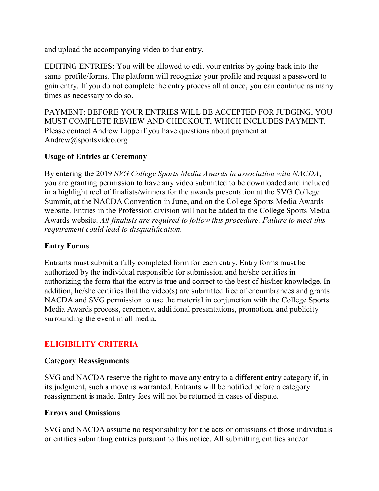and upload the accompanying video to that entry.

EDITING ENTRIES: You will be allowed to edit your entries by going back into the same profile/forms. The platform will recognize your profile and request a password to gain entry. If you do not complete the entry process all at once, you can continue as many times as necessary to do so.

PAYMENT: BEFORE YOUR ENTRIES WILL BE ACCEPTED FOR JUDGING, YOU MUST COMPLETE REVIEW AND CHECKOUT, WHICH INCLUDES PAYMENT. Please contact Andrew Lippe if you have questions about payment at Andrew@sportsvideo.org

## **Usage of Entries at Ceremony**

By entering the 2019 *SVG College Sports Media Awards in association with NACDA*, you are granting permission to have any video submitted to be downloaded and included in a highlight reel of finalists/winners for the awards presentation at the SVG College Summit, at the NACDA Convention in June, and on the College Sports Media Awards website. Entries in the Profession division will not be added to the College Sports Media Awards website. *All finalists are required to follow this procedure. Failure to meet this requirement could lead to disqualification.* 

## **Entry Forms**

Entrants must submit a fully completed form for each entry. Entry forms must be authorized by the individual responsible for submission and he/she certifies in authorizing the form that the entry is true and correct to the best of his/her knowledge. In addition, he/she certifies that the video(s) are submitted free of encumbrances and grants NACDA and SVG permission to use the material in conjunction with the College Sports Media Awards process, ceremony, additional presentations, promotion, and publicity surrounding the event in all media.

# **ELIGIBILITY CRITERIA**

## **Category Reassignments**

SVG and NACDA reserve the right to move any entry to a different entry category if, in its judgment, such a move is warranted. Entrants will be notified before a category reassignment is made. Entry fees will not be returned in cases of dispute.

## **Errors and Omissions**

SVG and NACDA assume no responsibility for the acts or omissions of those individuals or entities submitting entries pursuant to this notice. All submitting entities and/or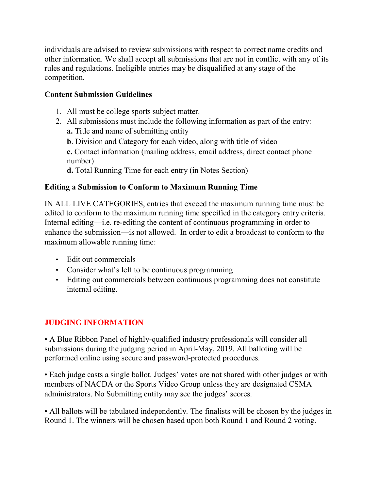individuals are advised to review submissions with respect to correct name credits and other information. We shall accept all submissions that are not in conflict with any of its rules and regulations. Ineligible entries may be disqualified at any stage of the competition.

## **Content Submission Guidelines**

- 1. All must be college sports subject matter.
- 2. All submissions must include the following information as part of the entry: **a.** Title and name of submitting entity
	- **b**. Division and Category for each video, along with title of video

**c.** Contact information (mailing address, email address, direct contact phone number)

**d.** Total Running Time for each entry (in Notes Section)

#### **Editing a Submission to Conform to Maximum Running Time**

IN ALL LIVE CATEGORIES, entries that exceed the maximum running time must be edited to conform to the maximum running time specified in the category entry criteria. Internal editing—i.e. re-editing the content of continuous programming in order to enhance the submission—is not allowed. In order to edit a broadcast to conform to the maximum allowable running time:

- Edit out commercials
- Consider what's left to be continuous programming
- Editing out commercials between continuous programming does not constitute internal editing.

## **JUDGING INFORMATION**

• A Blue Ribbon Panel of highly-qualified industry professionals will consider all submissions during the judging period in April-May, 2019. All balloting will be performed online using secure and password-protected procedures.

• Each judge casts a single ballot. Judges' votes are not shared with other judges or with members of NACDA or the Sports Video Group unless they are designated CSMA administrators. No Submitting entity may see the judges' scores.

• All ballots will be tabulated independently. The finalists will be chosen by the judges in Round 1. The winners will be chosen based upon both Round 1 and Round 2 voting.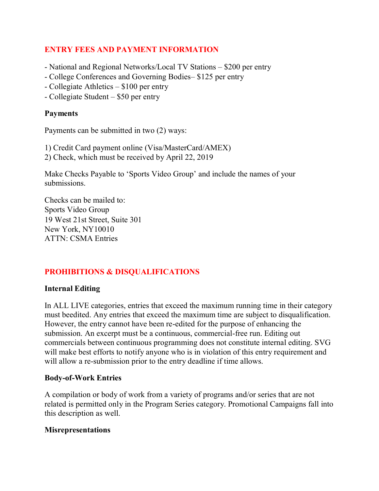## **ENTRY FEES AND PAYMENT INFORMATION**

- National and Regional Networks/Local TV Stations \$200 per entry
- College Conferences and Governing Bodies– \$125 per entry
- Collegiate Athletics \$100 per entry
- Collegiate Student \$50 per entry

#### **Payments**

Payments can be submitted in two (2) ways:

1) Credit Card payment online (Visa/MasterCard/AMEX)

2) Check, which must be received by April 22, 2019

Make Checks Payable to 'Sports Video Group' and include the names of your submissions.

Checks can be mailed to: Sports Video Group 19 West 21st Street, Suite 301 New York, NY10010 ATTN: CSMA Entries

# **PROHIBITIONS & DISQUALIFICATIONS**

#### **Internal Editing**

In ALL LIVE categories, entries that exceed the maximum running time in their category must beedited. Any entries that exceed the maximum time are subject to disqualification. However, the entry cannot have been re-edited for the purpose of enhancing the submission. An excerpt must be a continuous, commercial-free run. Editing out commercials between continuous programming does not constitute internal editing. SVG will make best efforts to notify anyone who is in violation of this entry requirement and will allow a re-submission prior to the entry deadline if time allows.

#### **Body-of-Work Entries**

A compilation or body of work from a variety of programs and/or series that are not related is permitted only in the Program Series category. Promotional Campaigns fall into this description as well.

#### **Misrepresentations**